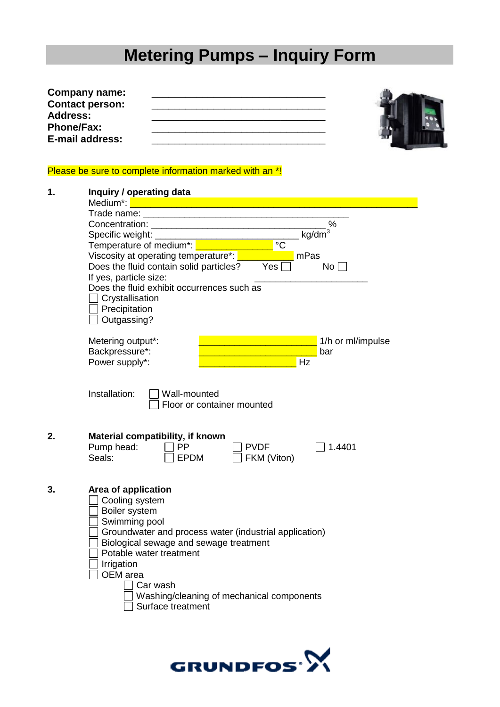# **Metering Pumps – Inquiry Form**

| <b>Company name:</b>   |  |
|------------------------|--|
| <b>Contact person:</b> |  |
| Address:               |  |
| <b>Phone/Fax:</b>      |  |
| E-mail address:        |  |

### Please be sure to complete information marked with an \*!

| 1.            | Inquiry / operating data                                                                |  |  |  |
|---------------|-----------------------------------------------------------------------------------------|--|--|--|
|               | Medium*: <u>Andrew Medium and American American State of</u>                            |  |  |  |
|               |                                                                                         |  |  |  |
|               | %                                                                                       |  |  |  |
|               | kg/dm                                                                                   |  |  |  |
|               | Temperature of medium*: <b>We are all the Set of T</b><br>$^{\circ}C$                   |  |  |  |
|               | Viscosity at operating temperature*: Viscosity at operating<br>mPas                     |  |  |  |
|               | Does the fluid contain solid particles?<br>Yes<br>No                                    |  |  |  |
|               | If yes, particle size:<br>Does the fluid exhibit occurrences such as<br>Crystallisation |  |  |  |
|               |                                                                                         |  |  |  |
|               |                                                                                         |  |  |  |
|               | Precipitation                                                                           |  |  |  |
|               | Outgassing?                                                                             |  |  |  |
|               |                                                                                         |  |  |  |
|               | Metering output*:<br>1/h or ml/impulse                                                  |  |  |  |
|               | Backpressure*:<br>bar                                                                   |  |  |  |
|               | Power supply*:<br>Hz                                                                    |  |  |  |
|               |                                                                                         |  |  |  |
| Installation: |                                                                                         |  |  |  |
|               | Wall-mounted<br>Floor or container mounted                                              |  |  |  |
|               |                                                                                         |  |  |  |
|               |                                                                                         |  |  |  |
| 2.            | Material compatibility, if known                                                        |  |  |  |
|               | Pump head:<br><b>PP</b><br><b>PVDF</b><br>1.4401                                        |  |  |  |
|               | Seals:<br><b>EPDM</b><br>FKM (Viton)                                                    |  |  |  |
|               |                                                                                         |  |  |  |
|               |                                                                                         |  |  |  |
| 3.            | Area of application                                                                     |  |  |  |
|               | Cooling system                                                                          |  |  |  |
|               | Boiler system                                                                           |  |  |  |
|               | Swimming pool                                                                           |  |  |  |
|               | Groundwater and process water (industrial application)                                  |  |  |  |
|               | Biological sewage and sewage treatment                                                  |  |  |  |
|               | Potable water treatment                                                                 |  |  |  |
|               | Irrigation                                                                              |  |  |  |
|               | OEM area                                                                                |  |  |  |
|               | Car wash                                                                                |  |  |  |
|               | Washing/cleaning of mechanical components                                               |  |  |  |
|               | Surface treatment                                                                       |  |  |  |
|               |                                                                                         |  |  |  |
|               |                                                                                         |  |  |  |